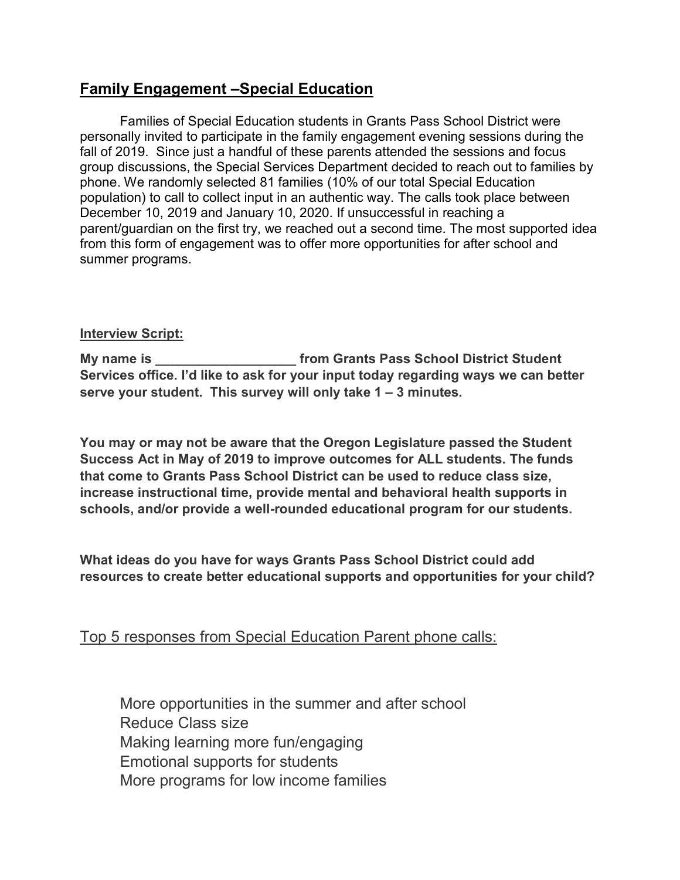## Family Engagement –Special Education

Families of Special Education students in Grants Pass School District were personally invited to participate in the family engagement evening sessions during the fall of 2019. Since just a handful of these parents attended the sessions and focus group discussions, the Special Services Department decided to reach out to families by phone. We randomly selected 81 families (10% of our total Special Education population) to call to collect input in an authentic way. The calls took place between December 10, 2019 and January 10, 2020. If unsuccessful in reaching a parent/guardian on the first try, we reached out a second time. The most supported idea from this form of engagement was to offer more opportunities for after school and summer programs.

## Interview Script:

My name is \_\_\_\_\_\_\_\_\_\_\_\_\_\_\_\_\_\_\_\_\_\_\_\_\_ from Grants Pass School District Student Services office. I'd like to ask for your input today regarding ways we can better serve your student. This survey will only take 1 – 3 minutes.

You may or may not be aware that the Oregon Legislature passed the Student Success Act in May of 2019 to improve outcomes for ALL students. The funds that come to Grants Pass School District can be used to reduce class size, increase instructional time, provide mental and behavioral health supports in schools, and/or provide a well-rounded educational program for our students.

What ideas do you have for ways Grants Pass School District could add resources to create better educational supports and opportunities for your child?

Top 5 responses from Special Education Parent phone calls:

More opportunities in the summer and after school Reduce Class size Making learning more fun/engaging Emotional supports for students More programs for low income families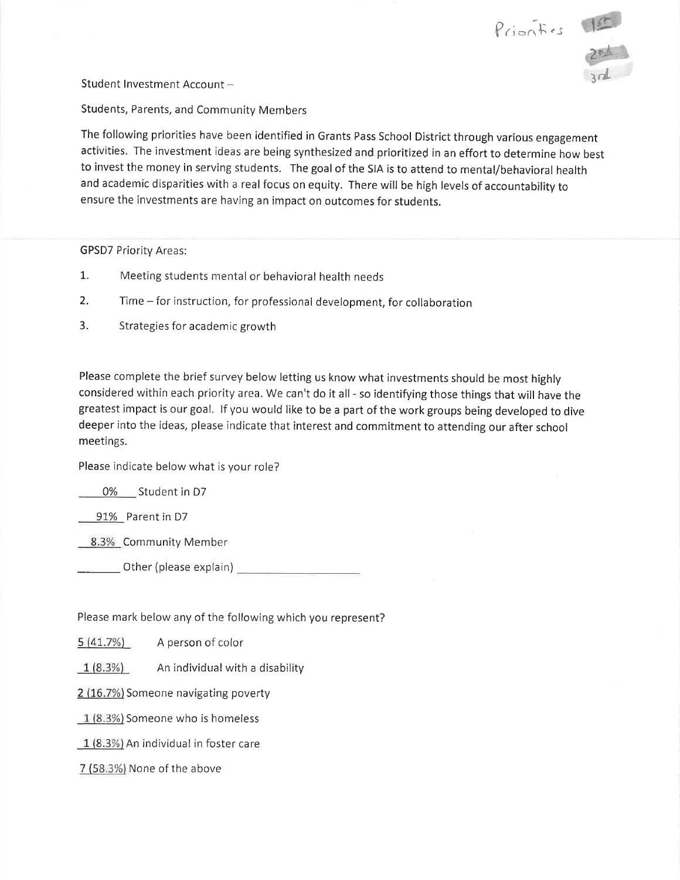



Student Investment Account -

Students, Parents, and Community Members

The following priorities have been identified in Grants Pass School District through various engagement activities. The investment ideas are being synthesized and prioritized in an effort to determine how best to invest the money in serving students. The goal of the SIA is to attend to mental/behavioral health and academic disparities with a real focus on equity. There will be high levels of accountability to ensure the investments are having an impact on outcomes for students.

**GPSD7 Priority Areas:** 

- $1.$ Meeting students mental or behavioral health needs
- $2.$ Time – for instruction, for professional development, for collaboration
- $3.$ Strategies for academic growth

Please complete the brief survey below letting us know what investments should be most highly considered within each priority area. We can't do it all - so identifying those things that will have the greatest impact is our goal. If you would like to be a part of the work groups being developed to dive deeper into the ideas, please indicate that interest and commitment to attending our after school meetings.

Please indicate below what is your role?

0% Student in D7

91% Parent in D7

8.3% Community Member

Please mark below any of the following which you represent?

 $5(41.7%)$ A person of color

 $1(8.3%)$ An individual with a disability

2 (16.7%) Someone navigating poverty

1 (8.3%) Someone who is homeless

 $1(8.3%)$  An individual in foster care

7 (58.3%) None of the above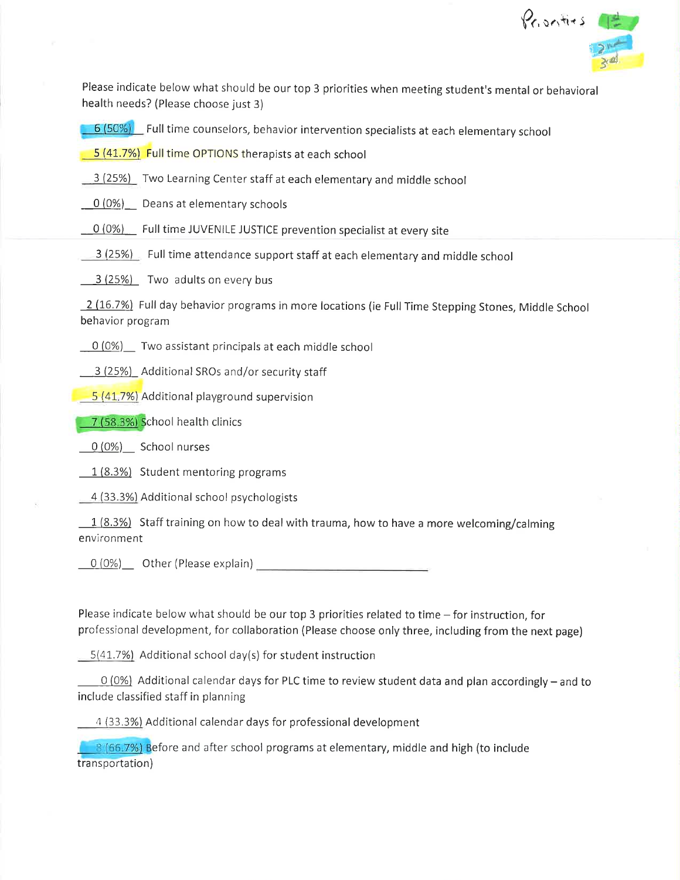

Please indicate below what should be our top 3 priorities when meeting student's mental or behavioral health needs? (Please choose just 3)

6 (50%) Full time counselors, behavior intervention specialists at each elementary school

5 (41.7%) Full time OPTIONS therapists at each school

3 (25%) Two Learning Center staff at each elementary and middle school

0 (0%) Deans at elementary schools

0 (0%) Full time JUVENILE JUSTICE prevention specialist at every site

3 (25%) Full time attendance support staff at each elementary and middle school

3 (25%) Two adults on every bus

2 (16.7%) Full day behavior programs in more locations (ie Full Time Stepping Stones, Middle School behavior program

0 (0%) Two assistant principals at each middle school

3 (25%) Additional SROs and/or security staff

5 (41.7%) Additional playground supervision

7 (58.3%) School health clinics

 $0(0\%)$  School nurses

1 (8.3%) Student mentoring programs

4 (33.3%) Additional school psychologists

 $\frac{1}{8.3\%}$  Staff training on how to deal with trauma, how to have a more welcoming/calming environment

 $O(0%)$  Other (Please explain)

Please indicate below what should be our top 3 priorities related to time – for instruction, for professional development, for collaboration (Please choose only three, including from the next page)

 $5(41.7%)$  Additional school day(s) for student instruction

 $0$  (0%) Additional calendar days for PLC time to review student data and plan accordingly – and to include classified staff in planning

4 (33.3%) Additional calendar days for professional development

8 (66.7%) Before and after school programs at elementary, middle and high (to include transportation)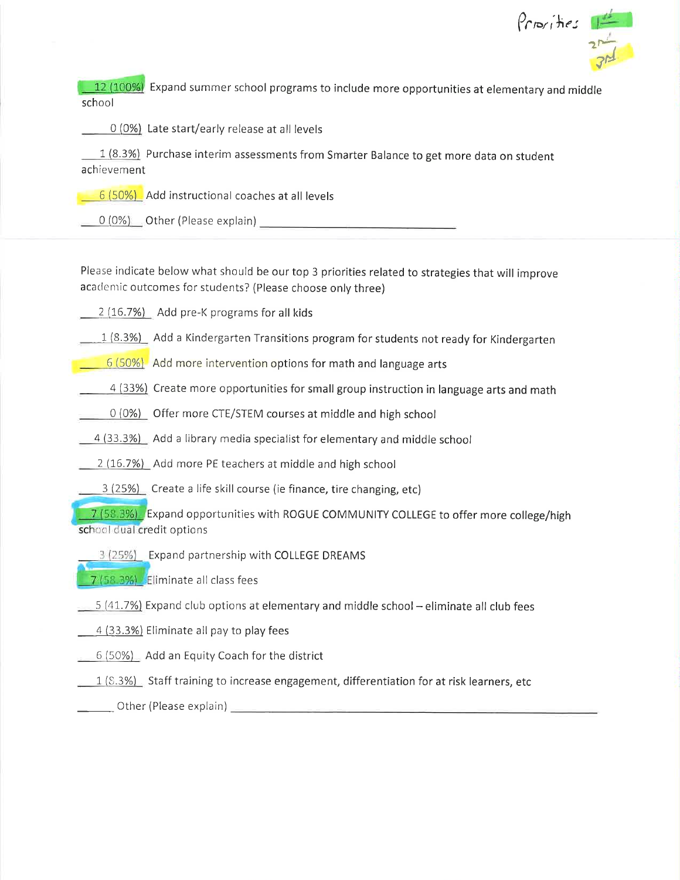$\frac{\rho_{rps/He}}{2r}$ 

12 (100%) Expand summer school programs to include more opportunities at elementary and middle school

0 (0%) Late start/early release at all levels

1 (8.3%) Purchase interim assessments from Smarter Balance to get more data on student achievement

6 (50%) Add instructional coaches at all levels

0 (0%) Other (Please explain) Other and the control of the control of the control of the control of the control of the control of the control of the control of the control of the control of the control of the control of th

Please indicate below what should be our top 3 priorities related to strategies that will improve academic outcomes for students? (Please choose only three)

2 (16.7%) Add pre-K programs for all kids

- $\frac{1}{8.3\%}$  Add a Kindergarten Transitions program for students not ready for Kindergarten
- $\boxed{6(50\%)}$  Add more intervention options for math and language arts
- 4 (33%) Create more opportunities for small group instruction in language arts and math
- $\circ$  (0%) Offer more CTE/STEM courses at middle and high school
- 4 (33.3%) Add a library media specialist for elementary and middle school
- 2 (16.7%) Add more PE teachers at middle and high school
- 3 (25%) Create a life skill course (ie finance, tire changing, etc)

7 (58.3%). Expand opportunities with ROGUE COMMUNITY COLLEGE to offer more college/high school dual credit options

3 (25%) Expand partnership with COLLEGE DREAMS

7 (58.3%) Eliminate all class fees

- $\sim$  5 (41.7%) Expand club options at elementary and middle school eliminate all club fees
- 4 (33.3%) Eliminate all pay to play fees
- 6 (50%) Add an Equity Coach for the district

 $\boxed{1 (8.3\%)}$  Staff training to increase engagement, differentiation for at risk learners, etc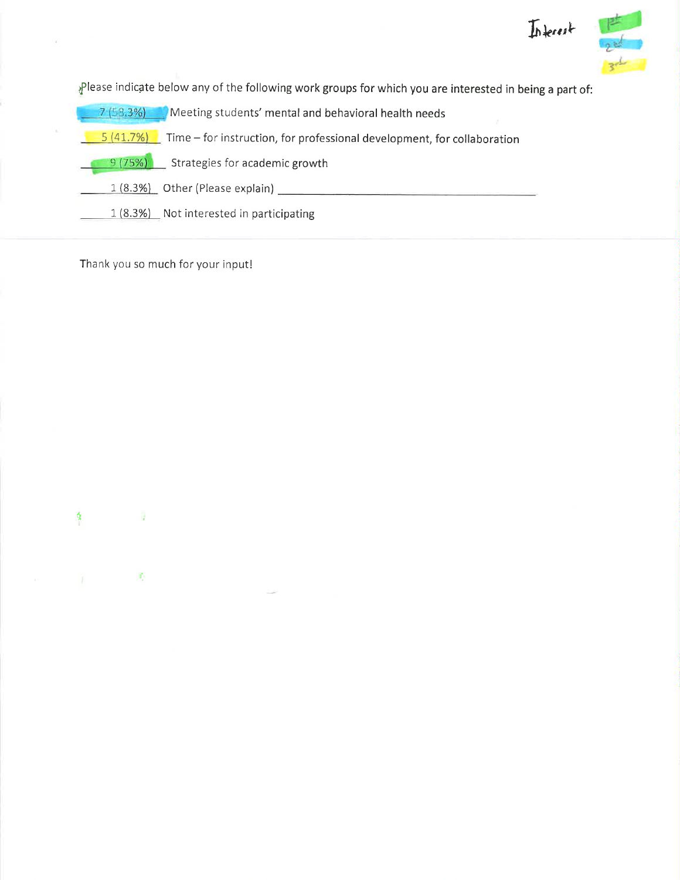

Please indicate below any of the following work groups for which you are interested in being a part of:

| 7(58.3%)<br>Meeting students' mental and behavioral health needs                    |
|-------------------------------------------------------------------------------------|
| 5(41.7%)<br>Time – for instruction, for professional development, for collaboration |
| 9(75%)<br>Strategies for academic growth                                            |
| 1 (8.3%) Other (Please explain)                                                     |
| 1 (8.3%) Not interested in participating                                            |

Thank you so much for your input!

 $\bar{H}$ 

 $\mathbb{C}$ 

ġ

 $\mathcal{A}$ 

 $\langle \sigma_{\rm c} \rangle$